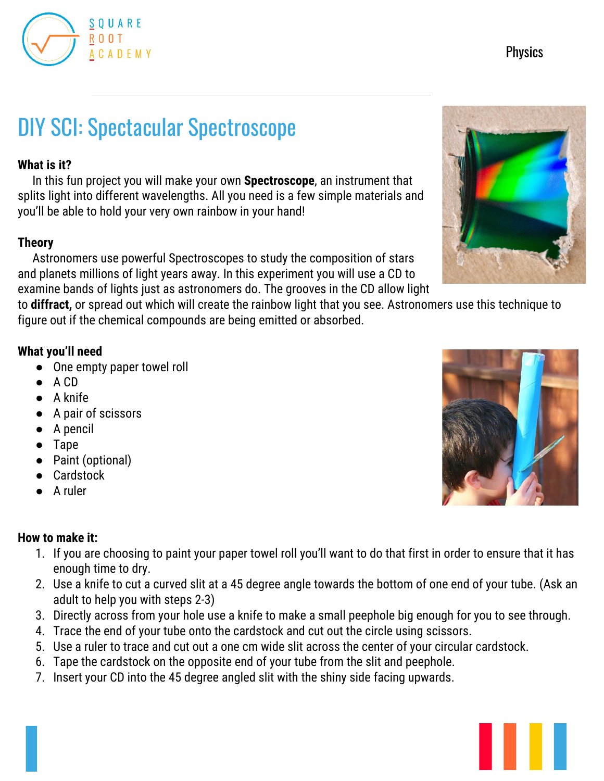

# **Physics**

# DIY SCI: Spectacular Spectroscope

#### **What is it?**

In this fun project you will make your own **Spectroscope**, an instrument that splits light into different wavelengths. All you need is a few simple materials and you'll be able to hold your very own rainbow in your hand!

#### **Theory**

Astronomers use powerful Spectroscopes to study the composition of stars and planets millions of light years away. In this experiment you will use a CD to examine bands of lights just as astronomers do. The grooves in the CD allow light

to **diffract,** or spread out which will create the rainbow light that you see. Astronomers use this technique to figure out if the chemical compounds are being emitted or absorbed.

#### **What you'll need**

- One empty paper towel roll
- A CD
- A knife
- A pair of scissors
- A pencil
- Tape
- Paint (optional)
- Cardstock
- A ruler

#### **How to make it:**

- 1. If you are choosing to paint your paper towel roll you'll want to do that first in order to ensure that it has enough time to dry.
- 2. Use a knife to cut a curved slit at a 45 degree angle towards the bottom of one end of your tube. (Ask an adult to help you with steps 2-3)
- 3. Directly across from your hole use a knife to make a small peephole big enough for you to see through.
- 4. Trace the end of your tube onto the cardstock and cut out the circle using scissors.
- 5. Use a ruler to trace and cut out a one cm wide slit across the center of your circular cardstock.
- 6. Tape the cardstock on the opposite end of your tube from the slit and peephole.
- 7. Insert your CD into the 45 degree angled slit with the shiny side facing upwards.





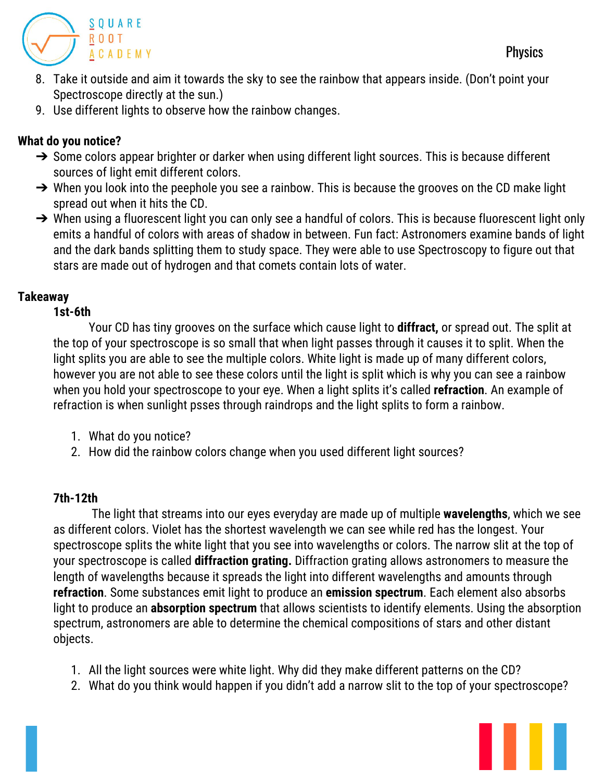**Physics** 



- 8. Take it outside and aim it towards the sky to see the rainbow that appears inside. (Don't point your Spectroscope directly at the sun.)
- 9. Use different lights to observe how the rainbow changes.

## **What do you notice?**

- → Some colors appear brighter or darker when using different light sources. This is because different sources of light emit different colors.
- → When you look into the peephole you see a rainbow. This is because the grooves on the CD make light spread out when it hits the CD.
- → When using a fluorescent light you can only see a handful of colors. This is because fluorescent light only emits a handful of colors with areas of shadow in between. Fun fact: Astronomers examine bands of light and the dark bands splitting them to study space. They were able to use Spectroscopy to figure out that stars are made out of hydrogen and that comets contain lots of water.

#### **Takeaway**

#### **1st-6th**

Your CD has tiny grooves on the surface which cause light to **diffract,** or spread out. The split at the top of your spectroscope is so small that when light passes through it causes it to split. When the light splits you are able to see the multiple colors. White light is made up of many different colors, however you are not able to see these colors until the light is split which is why you can see a rainbow when you hold your spectroscope to your eye. When a light splits it's called **refraction**. An example of refraction is when sunlight psses through raindrops and the light splits to form a rainbow.

- 1. What do you notice?
- 2. How did the rainbow colors change when you used different light sources?

### **7th-12th**

The light that streams into our eyes everyday are made up of multiple **wavelengths**, which we see as different colors. Violet has the shortest wavelength we can see while red has the longest. Your spectroscope splits the white light that you see into wavelengths or colors. The narrow slit at the top of your spectroscope is called **diffraction grating.** Diffraction grating allows astronomers to measure the length of wavelengths because it spreads the light into different wavelengths and amounts through **refraction**. Some substances emit light to produce an **emission spectrum**. Each element also absorbs light to produce an **absorption spectrum** that allows scientists to identify elements. Using the absorption spectrum, astronomers are able to determine the chemical compositions of stars and other distant objects.

- 1. All the light sources were white light. Why did they make different patterns on the CD?
- 2. What do you think would happen if you didn't add a narrow slit to the top of your spectroscope?